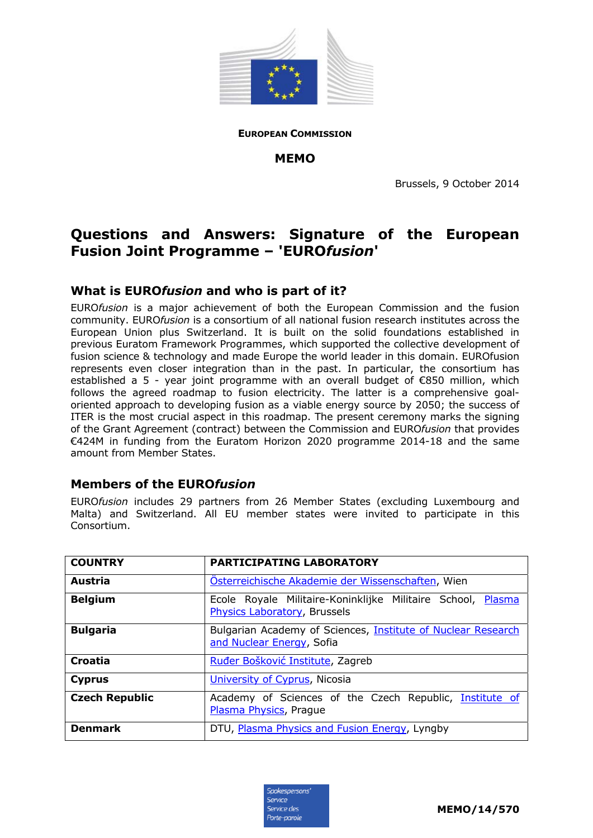

**EUROPEAN COMMISSION**

**MEMO** 

Brussels, 9 October 2014

# **Questions and Answers: Signature of the European Fusion Joint Programme – 'EURO***fusion***'**

## **What is EURO***fusion* **and who is part of it?**

EURO*fusion* is a major achievement of both the European Commission and the fusion community. EURO*fusion* is a consortium of all national fusion research institutes across the European Union plus Switzerland. It is built on the solid foundations established in previous Euratom Framework Programmes, which supported the collective development of fusion science & technology and made Europe the world leader in this domain. EUROfusion represents even closer integration than in the past. In particular, the consortium has established a 5 - year joint programme with an overall budget of €850 million, which follows the agreed roadmap to fusion electricity. The latter is a comprehensive goaloriented approach to developing fusion as a viable energy source by 2050; the success of ITER is the most crucial aspect in this roadmap. The present ceremony marks the signing of the Grant Agreement (contract) between the Commission and EURO*fusion* that provides €424M in funding from the Euratom Horizon 2020 programme 2014-18 and the same amount from Member States.

### **Members of the EURO***fusion*

EURO*fusion* includes 29 partners from 26 Member States (excluding Luxembourg and Malta) and Switzerland. All EU member states were invited to participate in this Consortium.

| <b>COUNTRY</b>        | PARTICIPATING LABORATORY                                                                         |
|-----------------------|--------------------------------------------------------------------------------------------------|
| Austria               | Osterreichische Akademie der Wissenschaften, Wien                                                |
| <b>Belgium</b>        | Ecole Royale Militaire-Koninklijke Militaire School, Plasma<br>Physics Laboratory, Brussels      |
| <b>Bulgaria</b>       | Bulgarian Academy of Sciences, <i>Institute of Nuclear Research</i><br>and Nuclear Energy, Sofia |
| Croatia               | Ruđer Bošković Institute, Zagreb                                                                 |
| <b>Cyprus</b>         | University of Cyprus, Nicosia                                                                    |
| <b>Czech Republic</b> | Academy of Sciences of the Czech Republic, Institute of<br>Plasma Physics, Prague                |
| <b>Denmark</b>        | DTU, Plasma Physics and Fusion Energy, Lyngby                                                    |

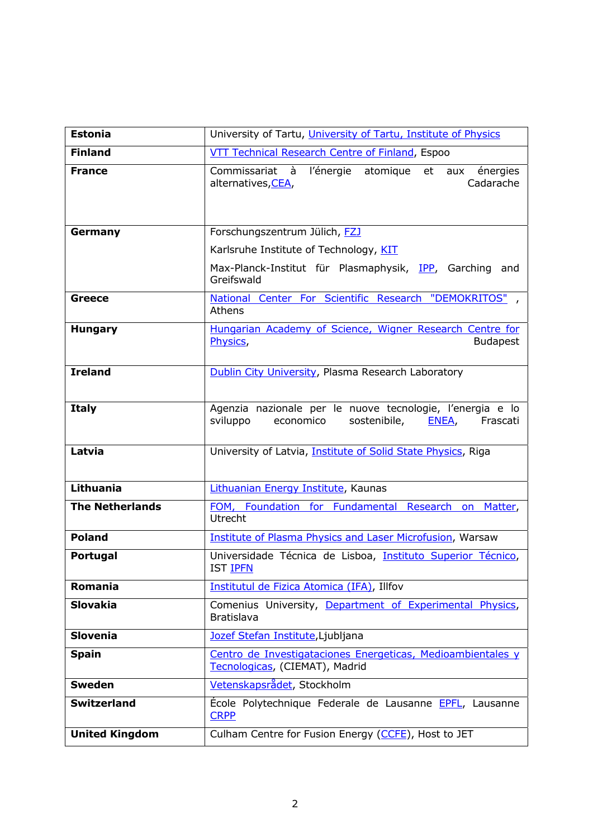| <b>Estonia</b>         | University of Tartu, University of Tartu, Institute of Physics                                                          |
|------------------------|-------------------------------------------------------------------------------------------------------------------------|
| <b>Finland</b>         | VTT Technical Research Centre of Finland, Espoo                                                                         |
| <b>France</b>          | Commissariat à l'énergie atomique et aux énergies<br>Cadarache<br>alternatives, CEA,                                    |
| Germany                | Forschungszentrum Jülich, FZJ                                                                                           |
|                        | Karlsruhe Institute of Technology, KIT                                                                                  |
|                        | Max-Planck-Institut für Plasmaphysik, IPP, Garching and<br>Greifswald                                                   |
| <b>Greece</b>          | National Center For Scientific Research "DEMOKRITOS",<br>Athens                                                         |
| <b>Hungary</b>         | Hungarian Academy of Science, Wigner Research Centre for<br><b>Budapest</b><br>Physics,                                 |
| <b>Ireland</b>         | Dublin City University, Plasma Research Laboratory                                                                      |
| <b>Italy</b>           | Agenzia nazionale per le nuove tecnologie, l'energia e lo<br>sviluppo<br>sostenibile,<br>economico<br>ENEA,<br>Frascati |
| Latvia                 | University of Latvia, Institute of Solid State Physics, Riga                                                            |
| Lithuania              | Lithuanian Energy Institute, Kaunas                                                                                     |
| <b>The Netherlands</b> | FOM, Foundation for Fundamental Research on<br>Matter,<br><b>Utrecht</b>                                                |
| <b>Poland</b>          | <b>Institute of Plasma Physics and Laser Microfusion, Warsaw</b>                                                        |
| Portugal               | Universidade Técnica de Lisboa, Instituto Superior Técnico,<br>IST <b>IPFN</b>                                          |
| <b>Romania</b>         | Institutul de Fizica Atomica (IFA), Illfov                                                                              |
| <b>Slovakia</b>        | Comenius University, Department of Experimental Physics,<br>Bratislava                                                  |
| <b>Slovenia</b>        | Jozef Stefan Institute, Ljubljana                                                                                       |
| <b>Spain</b>           | Centro de Investigataciones Energeticas, Medioambientales y<br>Tecnologicas, (CIEMAT), Madrid                           |
| <b>Sweden</b>          | Vetenskapsrådet, Stockholm                                                                                              |
| <b>Switzerland</b>     | École Polytechnique Federale de Lausanne EPFL, Lausanne<br><b>CRPP</b>                                                  |
| <b>United Kingdom</b>  | Culham Centre for Fusion Energy (CCFE), Host to JET                                                                     |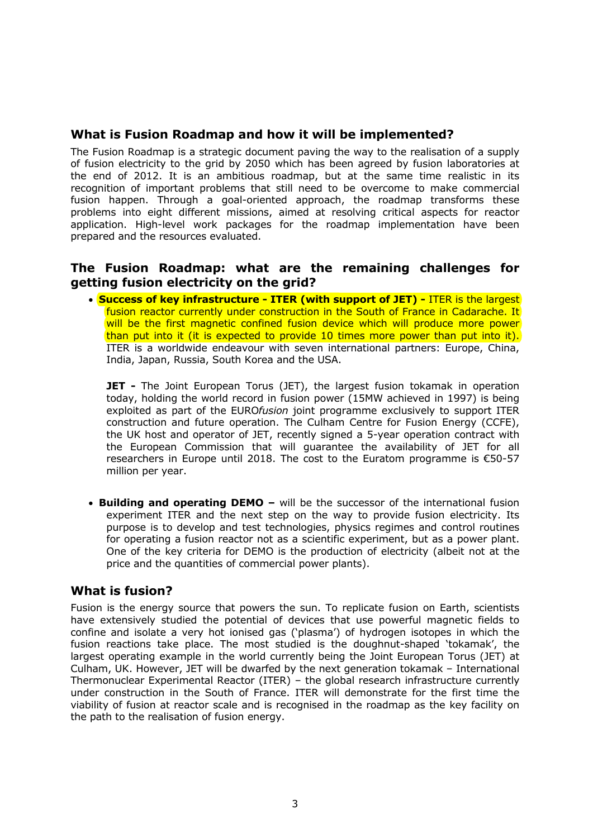## **What is Fusion Roadmap and how it will be implemented?**

The Fusion Roadmap is a strategic document paving the way to the realisation of a supply of fusion electricity to the grid by 2050 which has been agreed by fusion laboratories at the end of 2012. It is an ambitious roadmap, but at the same time realistic in its recognition of important problems that still need to be overcome to make commercial fusion happen. Through a goal-oriented approach, the roadmap transforms these problems into eight different missions, aimed at resolving critical aspects for reactor application. High-level work packages for the roadmap implementation have been prepared and the resources evaluated.

#### **The Fusion Roadmap: what are the remaining challenges for getting fusion electricity on the grid?**

• **Success of key infrastructure - ITER (with support of JET) -** ITER is the largest fusion reactor currently under construction in the South of France in Cadarache. It will be the first magnetic confined fusion device which will produce more power than put into it (it is expected to provide 10 times more power than put into it). ITER is a worldwide endeavour with seven international partners: Europe, China, India, Japan, Russia, South Korea and the USA.

**JET** - The Joint European Torus (JET), the largest fusion tokamak in operation today, holding the world record in fusion power (15MW achieved in 1997) is being exploited as part of the EURO*fusion* joint programme exclusively to support ITER construction and future operation. The Culham Centre for Fusion Energy (CCFE), the UK host and operator of JET, recently signed a 5-year operation contract with the European Commission that will guarantee the availability of JET for all researchers in Europe until 2018. The cost to the Euratom programme is €50-57 million per year.

• **Building and operating DEMO –** will be the successor of the international fusion experiment ITER and the next step on the way to provide fusion electricity. Its purpose is to develop and test technologies, physics regimes and control routines for operating a fusion reactor not as a scientific experiment, but as a power plant. One of the key criteria for DEMO is the production of electricity (albeit not at the price and the quantities of commercial power plants).

### **What is fusion?**

Fusion is the energy source that powers the sun. To replicate fusion on Earth, scientists have extensively studied the potential of devices that use powerful magnetic fields to confine and isolate a very hot ionised gas ('plasma') of hydrogen isotopes in which the fusion reactions take place. The most studied is the doughnut-shaped 'tokamak', the largest operating example in the world currently being the Joint European Torus (JET) at Culham, UK. However, JET will be dwarfed by the next generation tokamak – International Thermonuclear Experimental Reactor (ITER) – the global research infrastructure currently under construction in the South of France. ITER will demonstrate for the first time the viability of fusion at reactor scale and is recognised in the roadmap as the key facility on the path to the realisation of fusion energy.